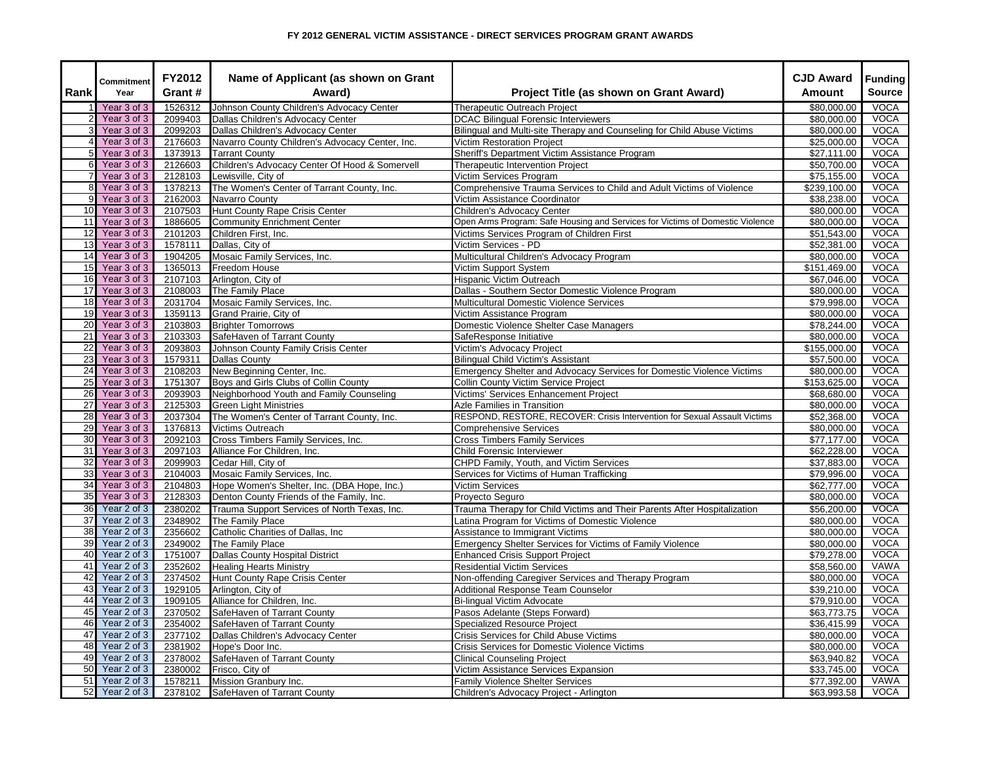| Rank            | Commitment<br>Year | FY2012<br>Grant # | Name of Applicant (as shown on Grant<br>Award)  | Project Title (as shown on Grant Award)                                       | <b>CJD Award</b><br>Amount | <b>Funding</b><br><b>Source</b> |
|-----------------|--------------------|-------------------|-------------------------------------------------|-------------------------------------------------------------------------------|----------------------------|---------------------------------|
|                 | Year 3 of 3        | 1526312           | Johnson County Children's Advocacy Center       | <b>Therapeutic Outreach Project</b>                                           | \$80,000.00                | <b>VOCA</b>                     |
|                 | Year 3 of 3        | 2099403           | Dallas Children's Advocacy Center               | <b>DCAC</b> Bilingual Forensic Interviewers                                   | \$80,000.00                | <b>VOCA</b>                     |
|                 | Year 3 of 3        | 2099203           | Dallas Children's Advocacy Center               | Bilingual and Multi-site Therapy and Counseling for Child Abuse Victims       | \$80,000.00                | <b>VOCA</b>                     |
|                 | Year 3 of 3        | 2176603           | Navarro County Children's Advocacy Center, Inc. | <b>Victim Restoration Project</b>                                             | \$25,000.00                | <b>VOCA</b>                     |
| 5               | Year 3 of 3        | 1373913           | <b>Tarrant County</b>                           | Sheriff's Department Victim Assistance Program                                | \$27,111.00                | VOCA                            |
| 6               | Year 3 of 3        | 2126603           | Children's Advocacy Center Of Hood & Somervell  | Therapeutic Intervention Project                                              | \$50,700.00                | <b>VOCA</b>                     |
|                 | Year 3 of 3        | 2128103           | Lewisville, City of                             | Victim Services Program                                                       | \$75,155.00                | <b>VOCA</b>                     |
| 8               | Year 3 of 3        | 1378213           | The Women's Center of Tarrant County, Inc.      | Comprehensive Trauma Services to Child and Adult Victims of Violence          | \$239,100.00               | <b>VOCA</b>                     |
| 9               | Year 3 of 3        | 2162003           | Navarro County                                  | Victim Assistance Coordinator                                                 | \$38,238.00                | <b>VOCA</b>                     |
| 10              | Year 3 of 3        | 2107503           | Hunt County Rape Crisis Center                  | Children's Advocacy Center                                                    | \$80,000.00                | <b>VOCA</b>                     |
| 11              | Year 3 of 3        | 1886605           | Community Enrichment Center                     | Open Arms Program: Safe Housing and Services for Victims of Domestic Violence | \$80,000.00                | <b>VOCA</b>                     |
| 12              | Year 3 of 3        | 2101203           | Children First, Inc.                            | Victims Services Program of Children First                                    | \$51,543.00                | VOCA                            |
| 13              | Year 3 of 3        | 1578111           | Dallas, City of                                 | Victim Services - PD                                                          | \$52,381.00                | <b>VOCA</b>                     |
| 14              | Year 3 of 3        | 1904205           | Mosaic Family Services, Inc.                    | Multicultural Children's Advocacy Program                                     | \$80,000.00                | <b>VOCA</b>                     |
| 15              | Year 3 of 3        | 1365013           | Freedom House                                   | Victim Support System                                                         | \$151,469.00               | <b>VOCA</b>                     |
| 16              | Year 3 of 3        | 2107103           | Arlington, City of                              | Hispanic Victim Outreach                                                      | \$67,046.00                | <b>VOCA</b>                     |
| 17              | Year 3 of 3        | 2108003           | The Family Place                                | Dallas - Southern Sector Domestic Violence Program                            | \$80,000.00                | <b>VOCA</b>                     |
| 18              | Year 3 of 3        | 2031704           | Mosaic Family Services, Inc.                    | Multicultural Domestic Violence Services                                      | \$79,998.00                | <b>VOCA</b>                     |
| 19              | Year 3 of 3        |                   | 1359113 Grand Prairie, City of                  | Victim Assistance Program                                                     | \$80,000.00                | <b>VOCA</b>                     |
| 20              | Year 3 of 3        | 2103803           | <b>Brighter Tomorrows</b>                       | Domestic Violence Shelter Case Managers                                       | \$78,244.00                | <b>VOCA</b>                     |
| 21              | Year 3 of 3        | 2103303           | SafeHaven of Tarrant County                     | SafeResponse Initiative                                                       | \$80,000.00                | <b>VOCA</b>                     |
| 22              | Year 3 of 3        | 2093803           | Johnson County Family Crisis Center             | Victim's Advocacy Project                                                     | \$155,000.00               | <b>VOCA</b>                     |
| 23              | Year 3 of 3        | 1579311           | <b>Dallas County</b>                            | Bilingual Child Victim's Assistant                                            | \$57,500.00                | <b>VOCA</b>                     |
| $\overline{24}$ | Year 3 of 3        | 2108203           | New Beginning Center, Inc.                      | Emergency Shelter and Advocacy Services for Domestic Violence Victims         | \$80,000.00                | VOCA                            |
| 25              | Year 3 of 3        | 1751307           | Boys and Girls Clubs of Collin County           | Collin County Victim Service Project                                          | \$153,625.00               | <b>VOCA</b>                     |
| 26              | Year 3 of 3        | 2093903           | Neighborhood Youth and Family Counseling        | Victims' Services Enhancement Project                                         | \$68,680.00                | <b>VOCA</b>                     |
| $\overline{27}$ | Year 3 of 3        | 2125303           | <b>Green Light Ministries</b>                   | Azle Families in Transition                                                   | \$80,000.00                | <b>VOCA</b>                     |
| 28              | Year 3 of 3        | 2037304           | The Women's Center of Tarrant County, Inc.      | RESPOND, RESTORE, RECOVER: Crisis Intervention for Sexual Assault Victims     | \$52,368.00                | <b>VOCA</b>                     |
| 29              | Year 3 of 3        | 1376813           | Victims Outreach                                | <b>Comprehensive Services</b>                                                 | \$80,000.00                | <b>VOCA</b>                     |
| 30              | Year 3 of 3        | 2092103           | Cross Timbers Family Services, Inc.             | <b>Cross Timbers Family Services</b>                                          | \$77,177.00                | <b>VOCA</b>                     |
| 31              | Year 3 of 3        | 2097103           | Alliance For Children, Inc.                     | Child Forensic Interviewer                                                    | \$62,228.00                | <b>VOCA</b>                     |
| 32              | Year 3 of 3        | 2099903           | Cedar Hill, City of                             | CHPD Family, Youth, and Victim Services                                       | \$37,883.00                | <b>VOCA</b>                     |
| 33              | Year 3 of 3        | 2104003           | Mosaic Family Services, Inc.                    | Services for Victims of Human Trafficking                                     | \$79,996.00                | <b>VOCA</b>                     |
| 34              | Year 3 of 3        | 2104803           | Hope Women's Shelter, Inc. (DBA Hope, Inc.)     | Victim Services                                                               | \$62,777.00                | <b>VOCA</b>                     |
| 35              | Year 3 of 3        | 2128303           | Denton County Friends of the Family, Inc.       | Proyecto Seguro                                                               | \$80,000.00                | VOCA                            |
| 36              | Year 2 of 3        | 2380202           | Trauma Support Services of North Texas, Inc.    | Trauma Therapy for Child Victims and Their Parents After Hospitalization      | \$56,200.00                | <b>VOCA</b>                     |
| $\overline{37}$ | Year 2 of 3        | 2348902           | The Family Place                                | Latina Program for Victims of Domestic Violence                               | \$80,000.00                | <b>VOCA</b>                     |
| 38              | Year 2 of 3        | 2356602           | Catholic Charities of Dallas, Inc               | <b>Assistance to Immigrant Victims</b>                                        | \$80,000.00                | <b>VOCA</b>                     |
| 39              | Year 2 of 3        | 2349002           | The Family Place                                | Emergency Shelter Services for Victims of Family Violence                     | \$80,000.00                | <b>VOCA</b>                     |
| 40              | Year 2 of 3        | 1751007           | Dallas County Hospital District                 | <b>Enhanced Crisis Support Project</b>                                        | \$79,278.00                | <b>VOCA</b>                     |
| 41              | Year 2 of 3        | 2352602           | <b>Healing Hearts Ministry</b>                  | <b>Residential Victim Services</b>                                            | \$58,560.00                | VAWA                            |
| 42              | Year 2 of 3        | 2374502           | Hunt County Rape Crisis Center                  | Non-offending Caregiver Services and Therapy Program                          | \$80,000.00                | <b>VOCA</b>                     |
| 43              | Year 2 of 3        | 1929105           | Arlington, City of                              | Additional Response Team Counselor                                            | \$39,210.00                | <b>VOCA</b>                     |
| 44              | Year 2 of 3        | 1909105           | Alliance for Children, Inc.                     | Bi-lingual Victim Advocate                                                    | \$79,910.00                | <b>VOCA</b>                     |
| 45              | Year 2 of 3        | 2370502           | SafeHaven of Tarrant County                     | Pasos Adelante (Steps Forward)                                                | \$63,773.75                | <b>VOCA</b>                     |
| 46              | Year 2 of 3        | 2354002           | SafeHaven of Tarrant County                     | <b>Specialized Resource Project</b>                                           | \$36,415.99                | <b>VOCA</b>                     |
| 47              | Year 2 of 3        | 2377102           | Dallas Children's Advocacy Center               | Crisis Services for Child Abuse Victims                                       | \$80,000.00                | <b>VOCA</b>                     |
| 48              | Year 2 of 3        |                   | 2381902 Hope's Door Inc.                        | Crisis Services for Domestic Violence Victims                                 | \$80,000.00                | <b>VOCA</b>                     |
| 49              | Year 2 of 3        | 2378002           | SafeHaven of Tarrant County                     | <b>Clinical Counseling Project</b>                                            | \$63,940.82                | <b>VOCA</b>                     |
| 50              | Year 2 of 3        | 2380002           | Frisco, City of                                 | Victim Assistance Services Expansion                                          | \$33,745.00                | <b>VOCA</b>                     |
| 51              | Year 2 of 3        | 1578211           | Mission Granbury Inc.                           | <b>Family Violence Shelter Services</b>                                       | \$77,392.00                | VAWA                            |
| 52              | Year 2 of 3        |                   | 2378102 SafeHaven of Tarrant County             | Children's Advocacy Project - Arlington                                       | \$63,993.58                | <b>VOCA</b>                     |